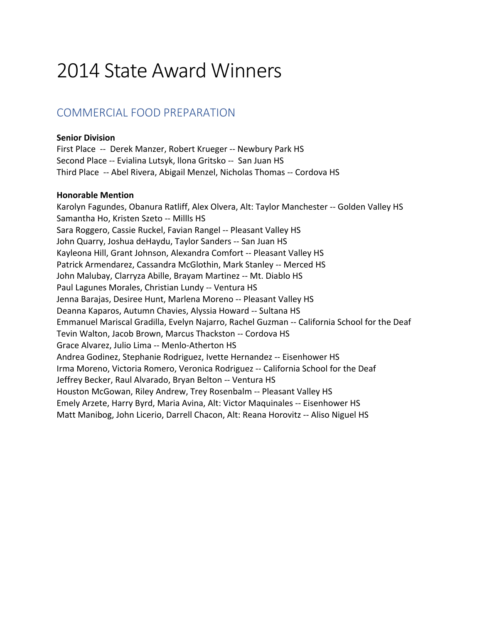# 2014 State Award Winners

### COMMERCIAL FOOD PREPARATION

### **Senior Division**

First Place -- Derek Manzer, Robert Krueger -- Newbury Park HS Second Place -- Evialina Lutsyk, llona Gritsko -- San Juan HS Third Place -- Abel Rivera, Abigail Menzel, Nicholas Thomas -- Cordova HS

#### **Honorable Mention**

Karolyn Fagundes, Obanura Ratliff, Alex Olvera, Alt: Taylor Manchester -- Golden Valley HS Samantha Ho, Kristen Szeto -- Millls HS Sara Roggero, Cassie Ruckel, Favian Rangel -- Pleasant Valley HS John Quarry, Joshua deHaydu, Taylor Sanders -- San Juan HS Kayleona Hill, Grant Johnson, Alexandra Comfort -- Pleasant Valley HS Patrick Armendarez, Cassandra McGlothin, Mark Stanley -- Merced HS John Malubay, Clarryza Abille, Brayam Martinez -- Mt. Diablo HS Paul Lagunes Morales, Christian Lundy -- Ventura HS Jenna Barajas, Desiree Hunt, Marlena Moreno -- Pleasant Valley HS Deanna Kaparos, Autumn Chavies, Alyssia Howard -- Sultana HS Emmanuel Mariscal Gradilla, Evelyn Najarro, Rachel Guzman -- California School for the Deaf Tevin Walton, Jacob Brown, Marcus Thackston -- Cordova HS Grace Alvarez, Julio Lima -- Menlo-Atherton HS Andrea Godinez, Stephanie Rodriguez, Ivette Hernandez -- Eisenhower HS Irma Moreno, Victoria Romero, Veronica Rodriguez -- California School for the Deaf Jeffrey Becker, Raul Alvarado, Bryan Belton -- Ventura HS Houston McGowan, Riley Andrew, Trey Rosenbalm -- Pleasant Valley HS Emely Arzete, Harry Byrd, Maria Avina, Alt: Victor Maquinales -- Eisenhower HS Matt Manibog, John Licerio, Darrell Chacon, Alt: Reana Horovitz -- Aliso Niguel HS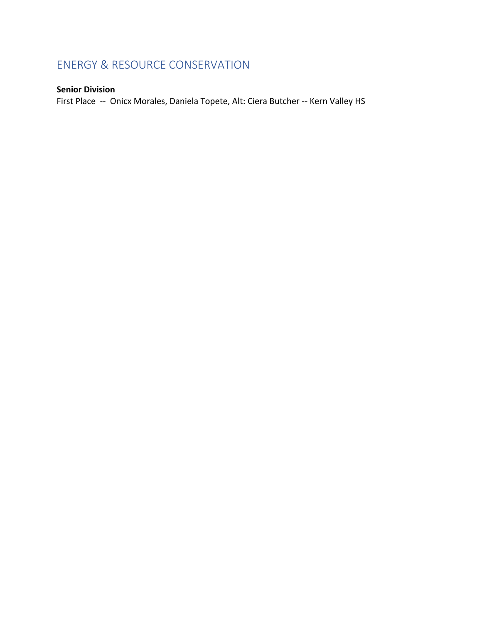# ENERGY & RESOURCE CONSERVATION

### **Senior Division**

First Place -- Onicx Morales, Daniela Topete, Alt: Ciera Butcher -- Kern Valley HS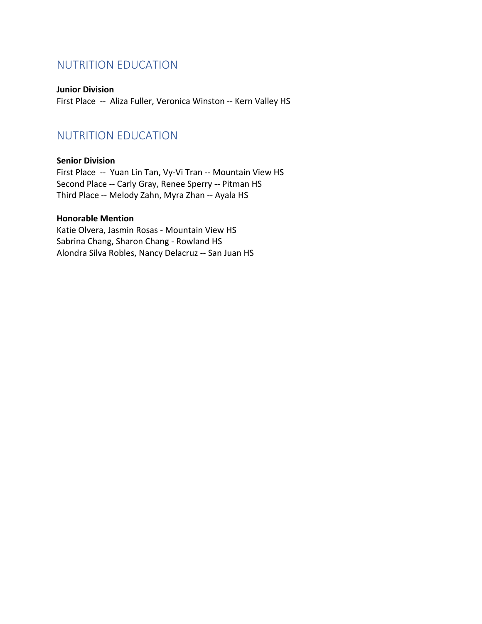### NUTRITION EDUCATION

**Junior Division** First Place -- Aliza Fuller, Veronica Winston -- Kern Valley HS

# NUTRITION EDUCATION

### **Senior Division**

First Place -- Yuan Lin Tan, Vy-Vi Tran -- Mountain View HS Second Place -- Carly Gray, Renee Sperry -- Pitman HS Third Place -- Melody Zahn, Myra Zhan -- Ayala HS

### **Honorable Mention**

Katie Olvera, Jasmin Rosas - Mountain View HS Sabrina Chang, Sharon Chang - Rowland HS Alondra Silva Robles, Nancy Delacruz -- San Juan HS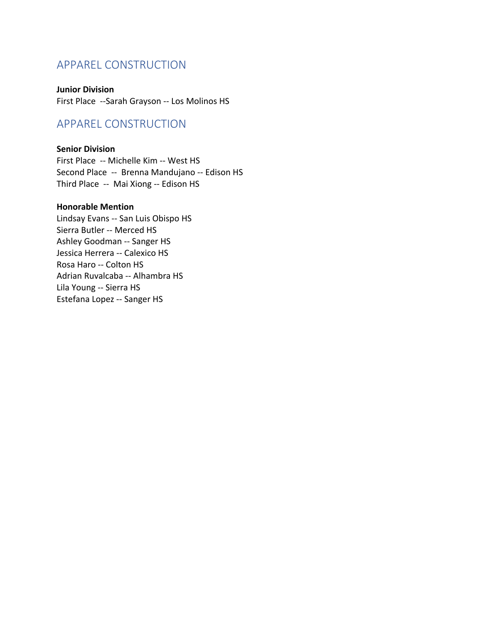### APPAREL CONSTRUCTION

**Junior Division** First Place --Sarah Grayson -- Los Molinos HS

### APPAREL CONSTRUCTION

### **Senior Division**

First Place -- Michelle Kim -- West HS Second Place -- Brenna Mandujano -- Edison HS Third Place -- Mai Xiong -- Edison HS

#### **Honorable Mention**

Lindsay Evans -- San Luis Obispo HS Sierra Butler -- Merced HS Ashley Goodman -- Sanger HS Jessica Herrera -- Calexico HS Rosa Haro -- Colton HS Adrian Ruvalcaba -- Alhambra HS Lila Young -- Sierra HS Estefana Lopez -- Sanger HS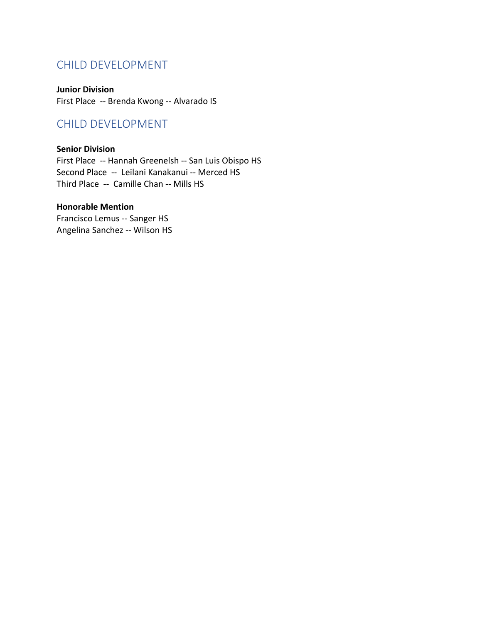### CHILD DEVELOPMENT

**Junior Division** First Place -- Brenda Kwong -- Alvarado IS

### CHILD DEVELOPMENT

### **Senior Division**

First Place -- Hannah Greenelsh -- San Luis Obispo HS Second Place -- Leilani Kanakanui -- Merced HS Third Place -- Camille Chan -- Mills HS

### **Honorable Mention**

Francisco Lemus -- Sanger HS Angelina Sanchez -- Wilson HS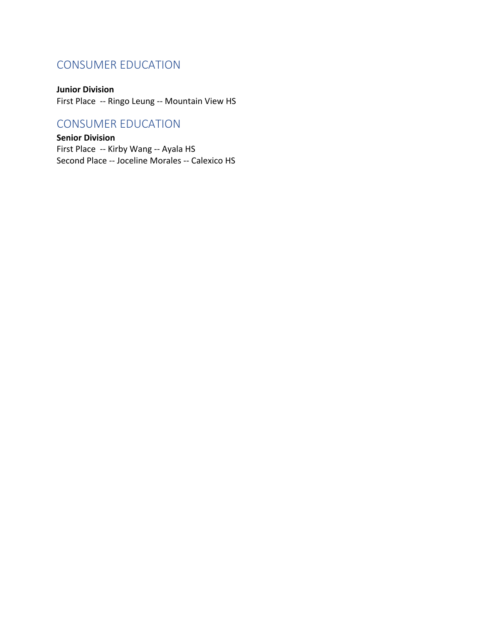# CONSUMER EDUCATION

### **Junior Division**

First Place -- Ringo Leung -- Mountain View HS

### CONSUMER EDUCATION

**Senior Division** First Place -- Kirby Wang -- Ayala HS Second Place -- Joceline Morales -- Calexico HS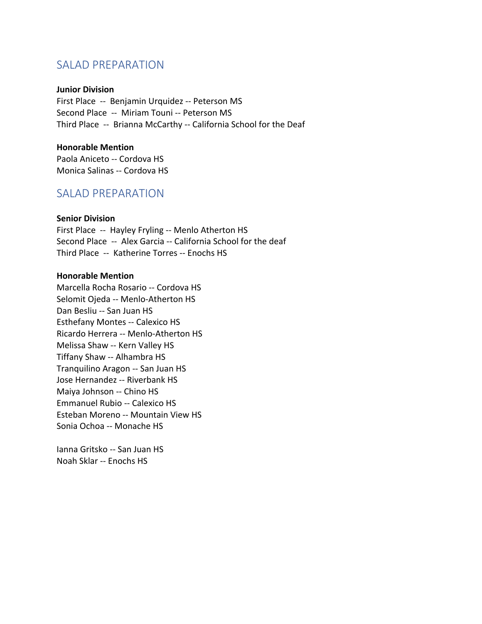### SALAD PREPARATION

#### **Junior Division**

First Place -- Benjamin Urquidez -- Peterson MS Second Place -- Miriam Touni -- Peterson MS Third Place -- Brianna McCarthy -- California School for the Deaf

#### **Honorable Mention**

Paola Aniceto -- Cordova HS Monica Salinas -- Cordova HS

### SALAD PREPARATION

#### **Senior Division**

First Place -- Hayley Fryling -- Menlo Atherton HS Second Place -- Alex Garcia -- California School for the deaf Third Place -- Katherine Torres -- Enochs HS

#### **Honorable Mention**

Marcella Rocha Rosario -- Cordova HS Selomit Ojeda -- Menlo-Atherton HS Dan Besliu -- San Juan HS Esthefany Montes -- Calexico HS Ricardo Herrera -- Menlo-Atherton HS Melissa Shaw -- Kern Valley HS Tiffany Shaw -- Alhambra HS Tranquilino Aragon -- San Juan HS Jose Hernandez -- Riverbank HS Maiya Johnson -- Chino HS Emmanuel Rubio -- Calexico HS Esteban Moreno -- Mountain View HS Sonia Ochoa -- Monache HS

Ianna Gritsko -- San Juan HS Noah Sklar -- Enochs HS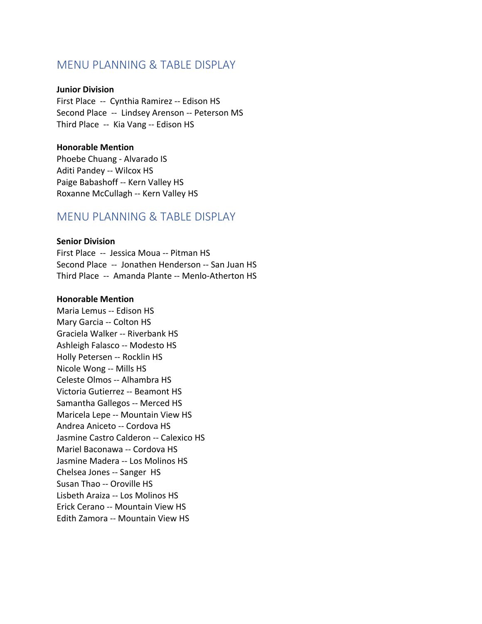### MENU PLANNING & TABLE DISPLAY

#### **Junior Division**

First Place -- Cynthia Ramirez -- Edison HS Second Place -- Lindsey Arenson -- Peterson MS Third Place -- Kia Vang -- Edison HS

#### **Honorable Mention**

Phoebe Chuang - Alvarado IS Aditi Pandey -- Wilcox HS Paige Babashoff -- Kern Valley HS Roxanne McCullagh -- Kern Valley HS

### MENU PLANNING & TABLE DISPLAY

#### **Senior Division**

First Place -- Jessica Moua -- Pitman HS Second Place -- Jonathen Henderson -- San Juan HS Third Place -- Amanda Plante -- Menlo-Atherton HS

#### **Honorable Mention**

Maria Lemus -- Edison HS Mary Garcia -- Colton HS Graciela Walker -- Riverbank HS Ashleigh Falasco -- Modesto HS Holly Petersen -- Rocklin HS Nicole Wong -- Mills HS Celeste Olmos -- Alhambra HS Victoria Gutierrez -- Beamont HS Samantha Gallegos -- Merced HS Maricela Lepe -- Mountain View HS Andrea Aniceto -- Cordova HS Jasmine Castro Calderon -- Calexico HS Mariel Baconawa -- Cordova HS Jasmine Madera -- Los Molinos HS Chelsea Jones -- Sanger HS Susan Thao -- Oroville HS Lisbeth Araiza -- Los Molinos HS Erick Cerano -- Mountain View HS Edith Zamora -- Mountain View HS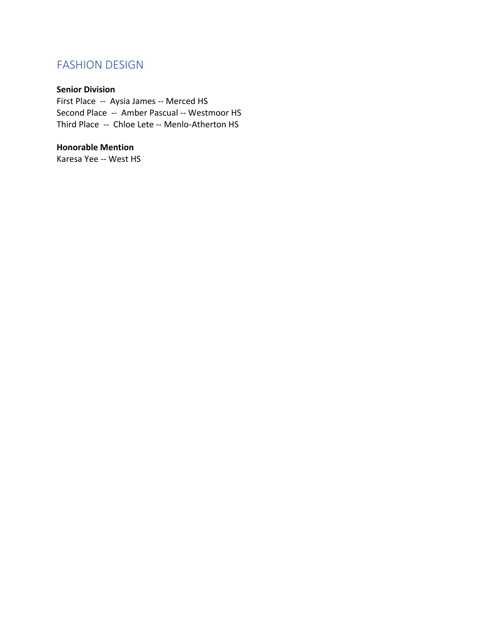# FASHION DESIGN

### **Senior Division**

First Place -- Aysia James -- Merced HS Second Place -- Amber Pascual -- Westmoor HS Third Place -- Chloe Lete -- Menlo-Atherton HS

### **Honorable Mention**

Karesa Yee -- West HS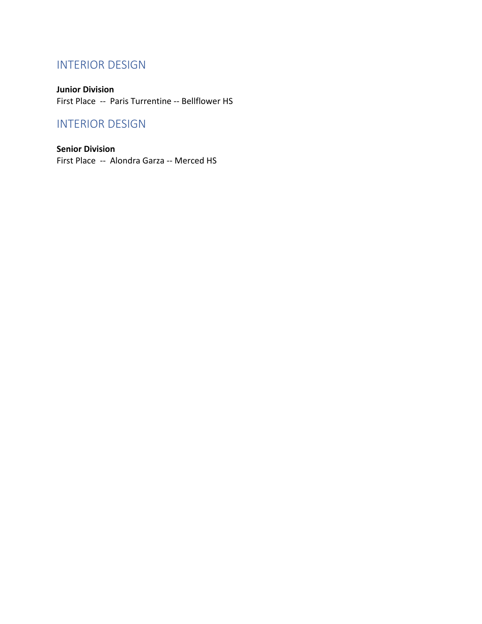# INTERIOR DESIGN

**Junior Division** First Place -- Paris Turrentine -- Bellflower HS

# INTERIOR DESIGN

**Senior Division** First Place -- Alondra Garza -- Merced HS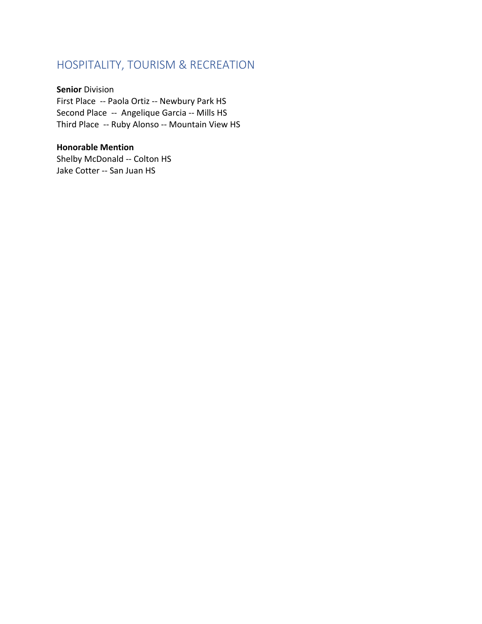# HOSPITALITY, TOURISM & RECREATION

**Senior** Division First Place -- Paola Ortiz -- Newbury Park HS Second Place -- Angelique Garcia -- Mills HS Third Place -- Ruby Alonso -- Mountain View HS

**Honorable Mention** Shelby McDonald -- Colton HS Jake Cotter -- San Juan HS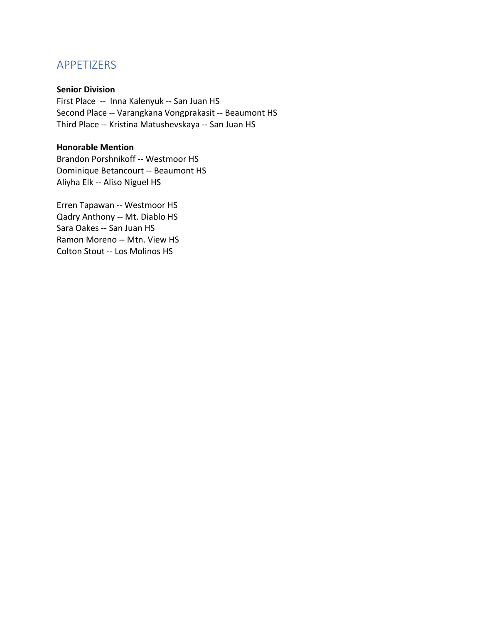### APPETIZERS

#### **Senior Division**

First Place -- Inna Kalenyuk -- San Juan HS Second Place -- Varangkana Vongprakasit -- Beaumont HS Third Place -- Kristina Matushevskaya -- San Juan HS

### **Honorable Mention**

Brandon Porshnikoff -- Westmoor HS Dominique Betancourt -- Beaumont HS Aliyha Elk -- Aliso Niguel HS

Erren Tapawan -- Westmoor HS Qadry Anthony -- Mt. Diablo HS Sara Oakes -- San Juan HS Ramon Moreno -- Mtn. View HS Colton Stout -- Los Molinos HS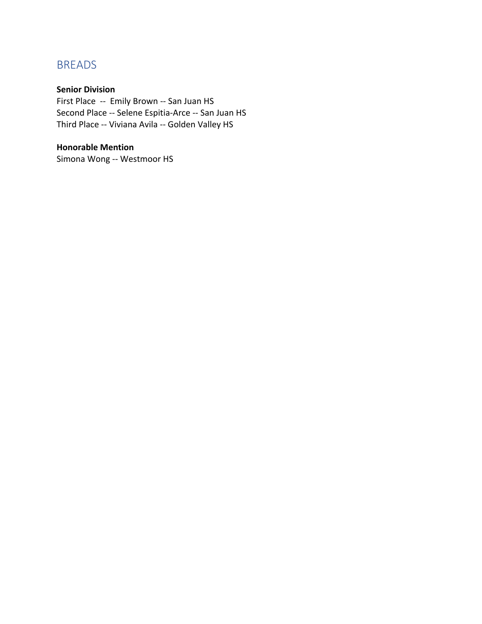# BREADS

### **Senior Division**

First Place -- Emily Brown -- San Juan HS Second Place -- Selene Espitia-Arce -- San Juan HS Third Place -- Viviana Avila -- Golden Valley HS

### **Honorable Mention**

Simona Wong -- Westmoor HS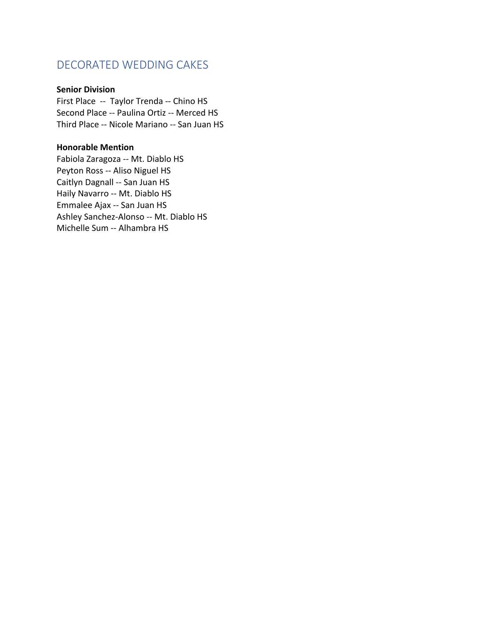### DECORATED WEDDING CAKES

#### **Senior Division**

First Place -- Taylor Trenda -- Chino HS Second Place -- Paulina Ortiz -- Merced HS Third Place -- Nicole Mariano -- San Juan HS

### **Honorable Mention**

Fabiola Zaragoza -- Mt. Diablo HS Peyton Ross -- Aliso Niguel HS Caitlyn Dagnall -- San Juan HS Haily Navarro -- Mt. Diablo HS Emmalee Ajax -- San Juan HS Ashley Sanchez-Alonso -- Mt. Diablo HS Michelle Sum -- Alhambra HS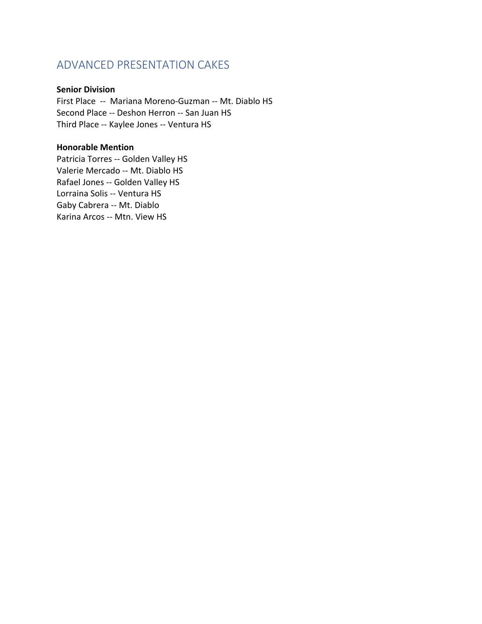# ADVANCED PRESENTATION CAKES

### **Senior Division**

First Place -- Mariana Moreno-Guzman -- Mt. Diablo HS Second Place -- Deshon Herron -- San Juan HS Third Place -- Kaylee Jones -- Ventura HS

#### **Honorable Mention**

Patricia Torres -- Golden Valley HS Valerie Mercado -- Mt. Diablo HS Rafael Jones -- Golden Valley HS Lorraina Solis -- Ventura HS Gaby Cabrera -- Mt. Diablo Karina Arcos -- Mtn. View HS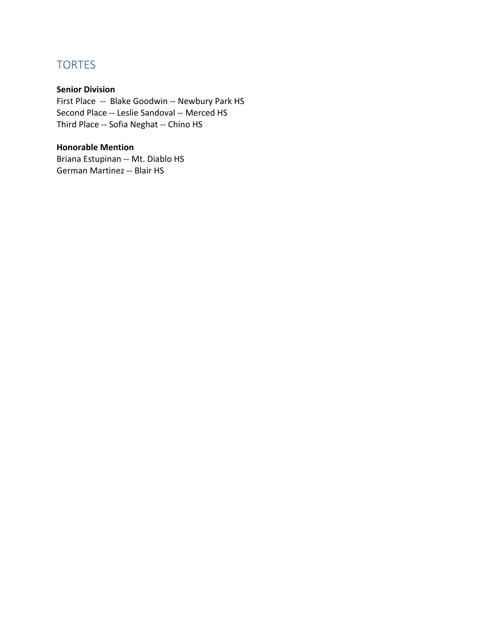# **TORTES**

### **Senior Division**

First Place -- Blake Goodwin -- Newbury Park HS Second Place -- Leslie Sandoval -- Merced HS Third Place -- Sofia Neghat -- Chino HS

### **Honorable Mention**

Briana Estupinan -- Mt. Diablo HS German Martinez -- Blair HS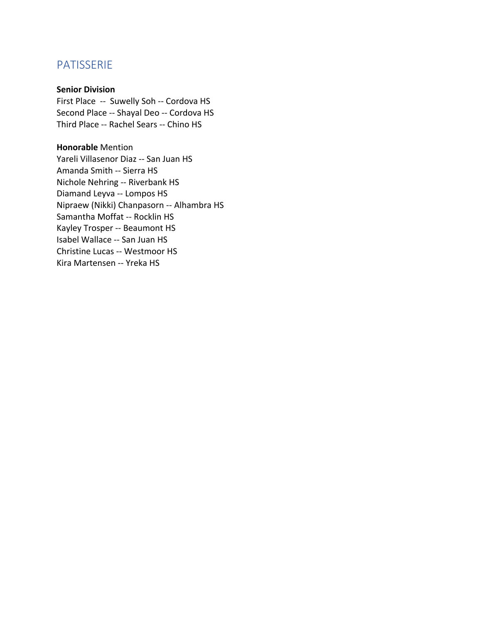### PATISSERIE

#### **Senior Division**

First Place -- Suwelly Soh -- Cordova HS Second Place -- Shayal Deo -- Cordova HS Third Place -- Rachel Sears -- Chino HS

**Honorable** Mention Yareli Villasenor Diaz -- San Juan HS Amanda Smith -- Sierra HS Nichole Nehring -- Riverbank HS Diamand Leyva -- Lompos HS Nipraew (Nikki) Chanpasorn -- Alhambra HS Samantha Moffat -- Rocklin HS Kayley Trosper -- Beaumont HS Isabel Wallace -- San Juan HS Christine Lucas -- Westmoor HS Kira Martensen -- Yreka HS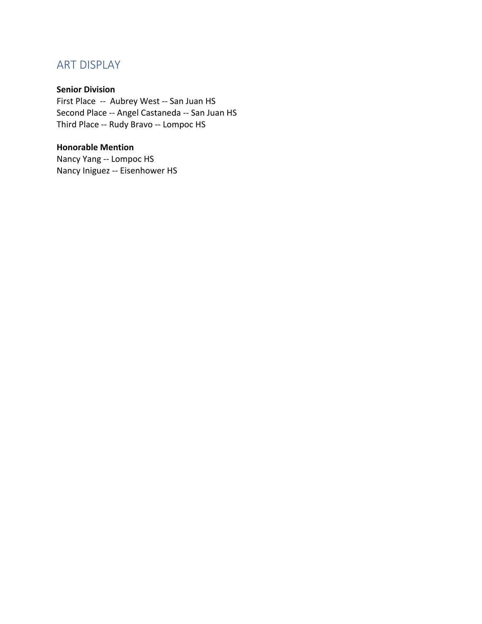# ART DISPLAY

### **Senior Division**

First Place -- Aubrey West -- San Juan HS Second Place -- Angel Castaneda -- San Juan HS Third Place -- Rudy Bravo -- Lompoc HS

### **Honorable Mention**

Nancy Yang -- Lompoc HS Nancy Iniguez -- Eisenhower HS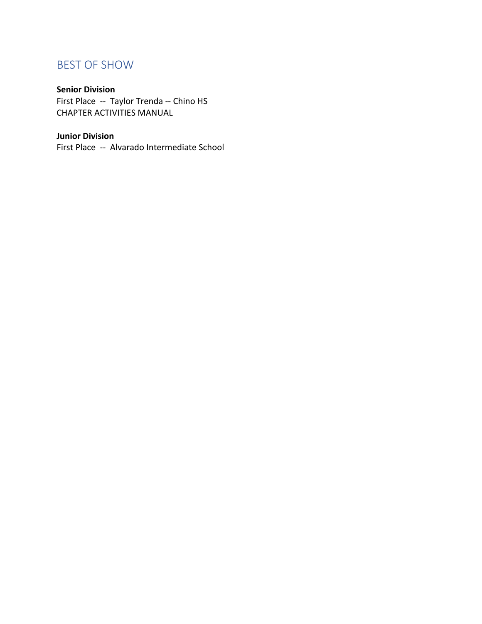# BEST OF SHOW

### **Senior Division**

First Place -- Taylor Trenda -- Chino HS CHAPTER ACTIVITIES MANUAL

### **Junior Division**

First Place -- Alvarado Intermediate School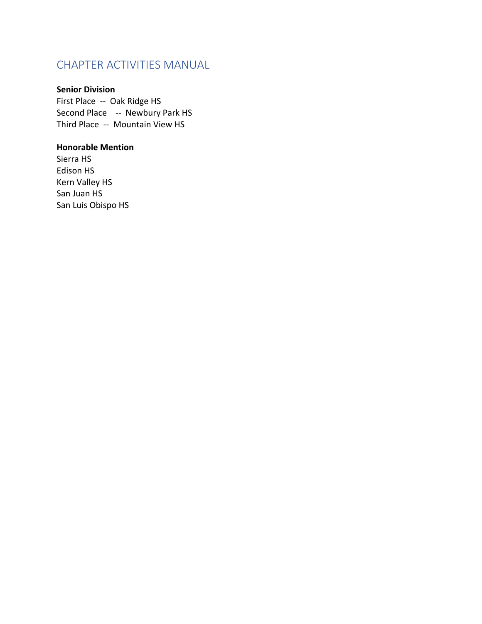# CHAPTER ACTIVITIES MANUAL

### **Senior Division**

First Place -- Oak Ridge HS Second Place -- Newbury Park HS Third Place -- Mountain View HS

### **Honorable Mention**

Sierra HS Edison HS Kern Valley HS San Juan HS San Luis Obispo HS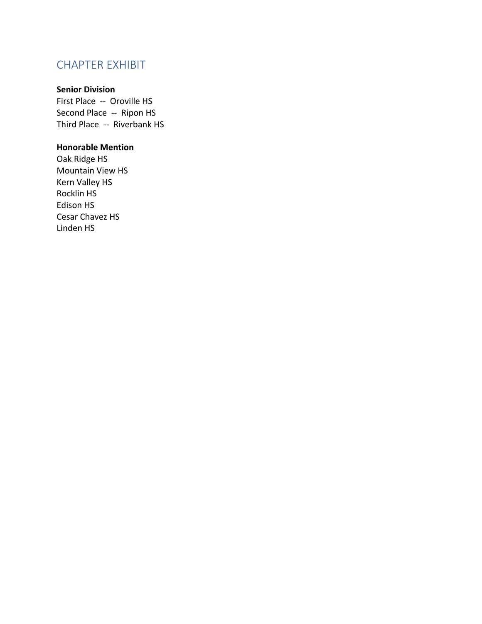# CHAPTER EXHIBIT

### **Senior Division**

First Place -- Oroville HS Second Place -- Ripon HS Third Place -- Riverbank HS

### **Honorable Mention**

Oak Ridge HS Mountain View HS Kern Valley HS Rocklin HS Edison HS Cesar Chavez HS Linden HS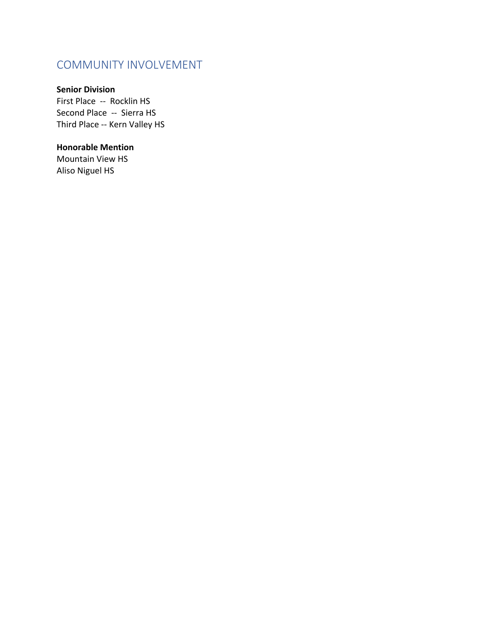### COMMUNITY INVOLVEMENT

### **Senior Division**

First Place -- Rocklin HS Second Place -- Sierra HS Third Place -- Kern Valley HS

### **Honorable Mention**

Mountain View HS Aliso Niguel HS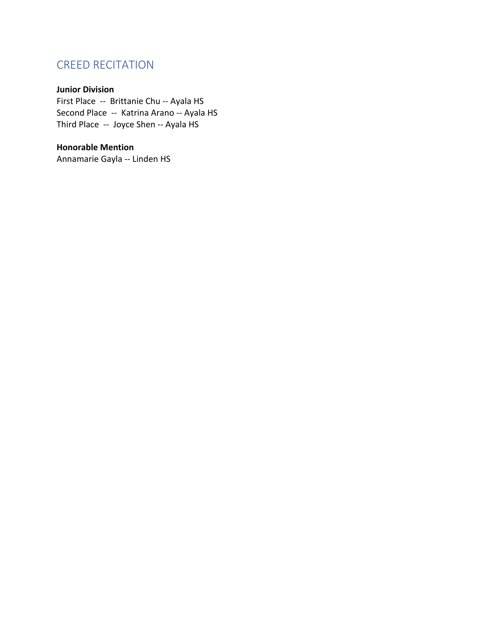# CREED RECITATION

### **Junior Division**

First Place -- Brittanie Chu -- Ayala HS Second Place -- Katrina Arano -- Ayala HS Third Place -- Joyce Shen -- Ayala HS

### **Honorable Mention**

Annamarie Gayla -- Linden HS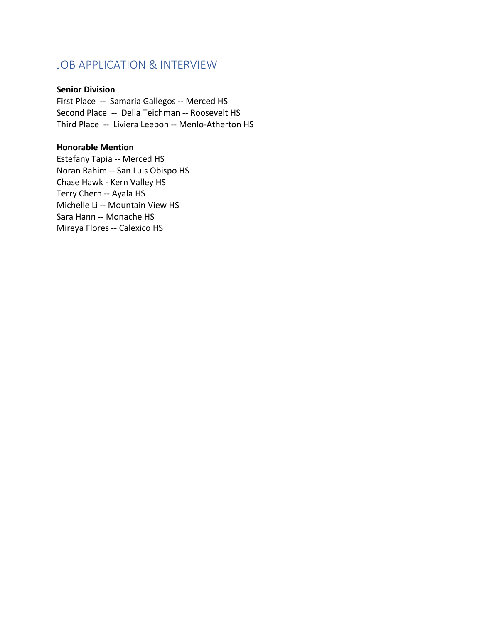### JOB APPLICATION & INTERVIEW

### **Senior Division**

First Place -- Samaria Gallegos -- Merced HS Second Place -- Delia Teichman -- Roosevelt HS Third Place -- Liviera Leebon -- Menlo-Atherton HS

#### **Honorable Mention**

Estefany Tapia -- Merced HS Noran Rahim -- San Luis Obispo HS Chase Hawk - Kern Valley HS Terry Chern -- Ayala HS Michelle Li -- Mountain View HS Sara Hann -- Monache HS Mireya Flores -- Calexico HS